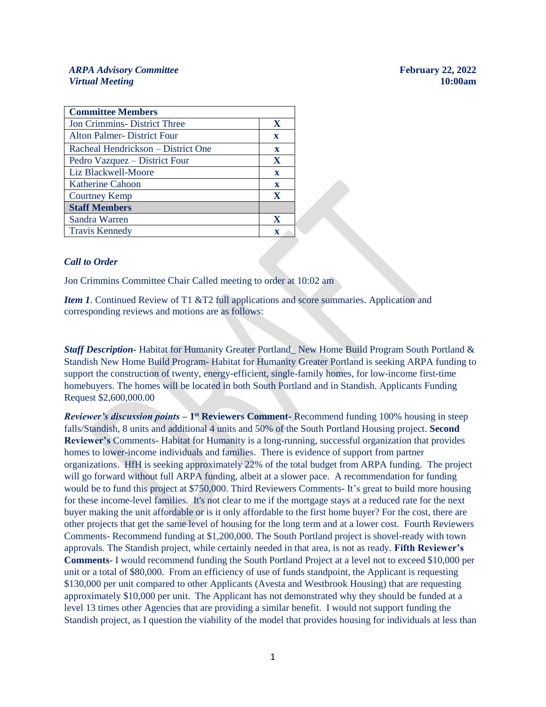#### *ARPA Advisory Committee* **February 22, 2022** *Virtual Meeting* **10:00am**

| <b>Committee Members</b>             |             |
|--------------------------------------|-------------|
| <b>Jon Crimmins</b> - District Three | X           |
| <b>Alton Palmer-District Four</b>    | $\mathbf x$ |
| Racheal Hendrickson – District One   | $\mathbf x$ |
| Pedro Vazquez – District Four        | X           |
| Liz Blackwell-Moore                  | $\mathbf x$ |
| <b>Katherine Cahoon</b>              | $\mathbf x$ |
| <b>Courtney Kemp</b>                 | X           |
| <b>Staff Members</b>                 |             |
| Sandra Warren                        | X           |
| <b>Travis Kennedy</b>                | $\mathbf x$ |

#### *Call to Order*

Jon Crimmins Committee Chair Called meeting to order at 10:02 am

*Item 1*. Continued Review of T1 &T2 full applications and score summaries. Application and corresponding reviews and motions are as follows:

*Staff Description-* Habitat for Humanity Greater Portland\_ New Home Build Program South Portland & Standish New Home Build Program- Habitat for Humanity Greater Portland is seeking ARPA funding to support the construction of twenty, energy-efficient, single-family homes, for low-income first-time homebuyers. The homes will be located in both South Portland and in Standish. Applicants Funding Request \$2,600,000.00

**Reviewer's discussion points – 1<sup>st</sup> Reviewers Comment-** Recommend funding 100% housing in steep falls/Standish, 8 units and additional 4 units and 50% of the South Portland Housing project. **Second Reviewer's** Comments- Habitat for Humanity is a long-running, successful organization that provides homes to lower-income individuals and families. There is evidence of support from partner organizations. HfH is seeking approximately 22% of the total budget from ARPA funding. The project will go forward without full ARPA funding, albeit at a slower pace. A recommendation for funding would be to fund this project at \$750,000. Third Reviewers Comments- It's great to build more housing for these income-level families. It's not clear to me if the mortgage stays at a reduced rate for the next buyer making the unit affordable or is it only affordable to the first home buyer? For the cost, there are other projects that get the same level of housing for the long term and at a lower cost. Fourth Reviewers Comments- Recommend funding at \$1,200,000. The South Portland project is shovel-ready with town approvals. The Standish project, while certainly needed in that area, is not as ready. **Fifth Reviewer's Comments**- I would recommend funding the South Portland Project at a level not to exceed \$10,000 per unit or a total of \$80,000. From an efficiency of use of funds standpoint, the Applicant is requesting \$130,000 per unit compared to other Applicants (Avesta and Westbrook Housing) that are requesting approximately \$10,000 per unit. The Applicant has not demonstrated why they should be funded at a level 13 times other Agencies that are providing a similar benefit. I would not support funding the Standish project, as I question the viability of the model that provides housing for individuals at less than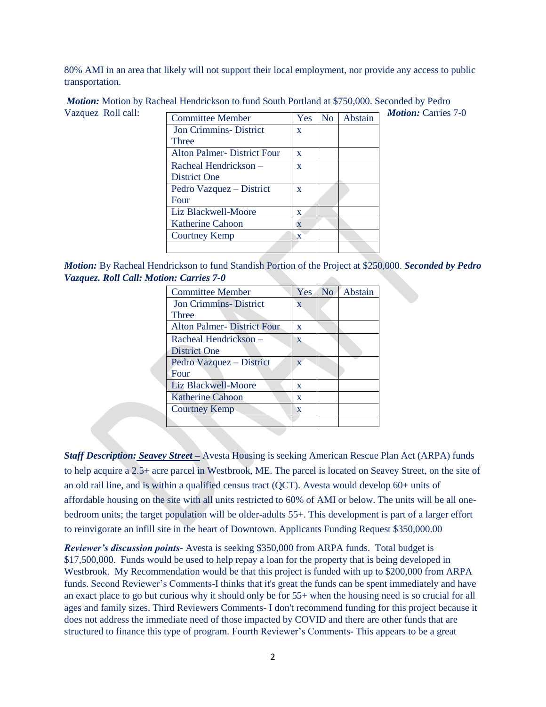80% AMI in an area that likely will not support their local employment, nor provide any access to public transportation.

| Vazquez Roll call: |                              |              |                |         | <b><i>Motion:</i></b> Carries 7-0 |
|--------------------|------------------------------|--------------|----------------|---------|-----------------------------------|
|                    | <b>Committee Member</b>      | Yes          | N <sub>0</sub> | Abstain |                                   |
|                    | <b>Jon Crimmins-District</b> | X            |                |         |                                   |
|                    | Three                        |              |                |         |                                   |
|                    | Alton Palmer-District Four   | $\mathbf{x}$ |                |         |                                   |
|                    | Racheal Hendrickson –        | $\mathbf{X}$ |                |         |                                   |
|                    | District One                 |              |                |         |                                   |
|                    | Pedro Vazquez – District     | X            |                |         |                                   |
|                    | Four                         |              |                |         |                                   |
|                    | Liz Blackwell-Moore          | $\mathbf{x}$ |                |         |                                   |
|                    | <b>Katherine Cahoon</b>      | X            |                |         |                                   |
|                    | Courtney Kemp                | X            |                |         |                                   |
|                    |                              |              |                |         |                                   |

*Motion:* Motion by Racheal Hendrickson to fund South Portland at \$750,000. Seconded by Pedro

*Motion:* By Racheal Hendrickson to fund Standish Portion of the Project at \$250,000. *Seconded by Pedro Vazquez. Roll Call: Motion: Carries 7-0*  $\sim$ 

| <b>Committee Member</b>           | Yes                     | No | Abstain |
|-----------------------------------|-------------------------|----|---------|
| <b>Jon Crimmins-District</b>      | $\overline{\mathbf{X}}$ |    |         |
| Three                             |                         |    |         |
| <b>Alton Palmer-District Four</b> | $\mathbf x$             |    |         |
| Racheal Hendrickson –             | $\mathbf{X}$            |    |         |
| District One                      |                         |    |         |
| Pedro Vazquez – District          | X                       |    |         |
| Four                              |                         |    |         |
| Liz Blackwell-Moore               | $\mathbf x$             |    |         |
| <b>Katherine Cahoon</b>           | $\mathbf x$             |    |         |
| <b>Courtney Kemp</b>              | X                       |    |         |
|                                   |                         |    |         |

*Staff Description: Seavey Street –* Avesta Housing is seeking American Rescue Plan Act (ARPA) funds to help acquire a 2.5+ acre parcel in Westbrook, ME. The parcel is located on Seavey Street, on the site of an old rail line, and is within a qualified census tract (QCT). Avesta would develop 60+ units of affordable housing on the site with all units restricted to 60% of AMI or below. The units will be all onebedroom units; the target population will be older-adults 55+. This development is part of a larger effort to reinvigorate an infill site in the heart of Downtown. Applicants Funding Request \$350,000.00

*Reviewer's discussion points-* Avesta is seeking \$350,000 from ARPA funds. Total budget is \$17,500,000. Funds would be used to help repay a loan for the property that is being developed in Westbrook. My Recommendation would be that this project is funded with up to \$200,000 from ARPA funds. Second Reviewer's Comments-I thinks that it's great the funds can be spent immediately and have an exact place to go but curious why it should only be for 55+ when the housing need is so crucial for all ages and family sizes. Third Reviewers Comments- I don't recommend funding for this project because it does not address the immediate need of those impacted by COVID and there are other funds that are structured to finance this type of program. Fourth Reviewer's Comments- This appears to be a great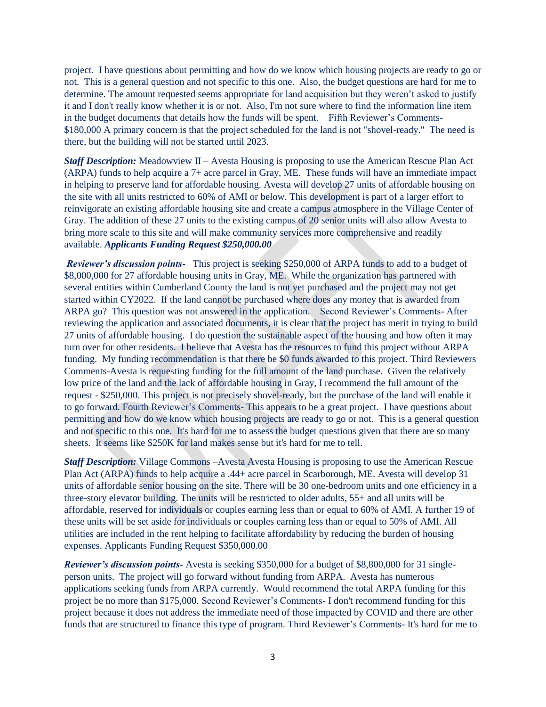project. I have questions about permitting and how do we know which housing projects are ready to go or not. This is a general question and not specific to this one. Also, the budget questions are hard for me to determine. The amount requested seems appropriate for land acquisition but they weren't asked to justify it and I don't really know whether it is or not. Also, I'm not sure where to find the information line item in the budget documents that details how the funds will be spent. Fifth Reviewer's Comments- \$180,000 A primary concern is that the project scheduled for the land is not "shovel-ready." The need is there, but the building will not be started until 2023.

*Staff Description:* Meadowview II – Avesta Housing is proposing to use the American Rescue Plan Act (ARPA) funds to help acquire a 7+ acre parcel in Gray, ME. These funds will have an immediate impact in helping to preserve land for affordable housing. Avesta will develop 27 units of affordable housing on the site with all units restricted to 60% of AMI or below. This development is part of a larger effort to reinvigorate an existing affordable housing site and create a campus atmosphere in the Village Center of Gray. The addition of these 27 units to the existing campus of 20 senior units will also allow Avesta to bring more scale to this site and will make community services more comprehensive and readily available. *Applicants Funding Request \$250,000.00* 

*Reviewer's discussion points-* This project is seeking \$250,000 of ARPA funds to add to a budget of \$8,000,000 for 27 affordable housing units in Gray, ME. While the organization has partnered with several entities within Cumberland County the land is not yet purchased and the project may not get started within CY2022. If the land cannot be purchased where does any money that is awarded from ARPA go? This question was not answered in the application. Second Reviewer's Comments- After reviewing the application and associated documents, it is clear that the project has merit in trying to build 27 units of affordable housing. I do question the sustainable aspect of the housing and how often it may turn over for other residents. I believe that Avesta has the resources to fund this project without ARPA funding. My funding recommendation is that there be \$0 funds awarded to this project. Third Reviewers Comments-Avesta is requesting funding for the full amount of the land purchase. Given the relatively low price of the land and the lack of affordable housing in Gray, I recommend the full amount of the request - \$250,000. This project is not precisely shovel-ready, but the purchase of the land will enable it to go forward. Fourth Reviewer's Comments- This appears to be a great project. I have questions about permitting and how do we know which housing projects are ready to go or not. This is a general question and not specific to this one. It's hard for me to assess the budget questions given that there are so many sheets. It seems like \$250K for land makes sense but it's hard for me to tell.

*Staff Description:* Village Commons –Avesta Avesta Housing is proposing to use the American Rescue Plan Act (ARPA) funds to help acquire a .44+ acre parcel in Scarborough, ME. Avesta will develop 31 units of affordable senior housing on the site. There will be 30 one-bedroom units and one efficiency in a three-story elevator building. The units will be restricted to older adults, 55+ and all units will be affordable, reserved for individuals or couples earning less than or equal to 60% of AMI. A further 19 of these units will be set aside for individuals or couples earning less than or equal to 50% of AMI. All utilities are included in the rent helping to facilitate affordability by reducing the burden of housing expenses. Applicants Funding Request \$350,000.00

*Reviewer's discussion points-* Avesta is seeking \$350,000 for a budget of \$8,800,000 for 31 singleperson units. The project will go forward without funding from ARPA. Avesta has numerous applications seeking funds from ARPA currently. Would recommend the total ARPA funding for this project be no more than \$175,000. Second Reviewer's Comments- I don't recommend funding for this project because it does not address the immediate need of those impacted by COVID and there are other funds that are structured to finance this type of program. Third Reviewer's Comments- It's hard for me to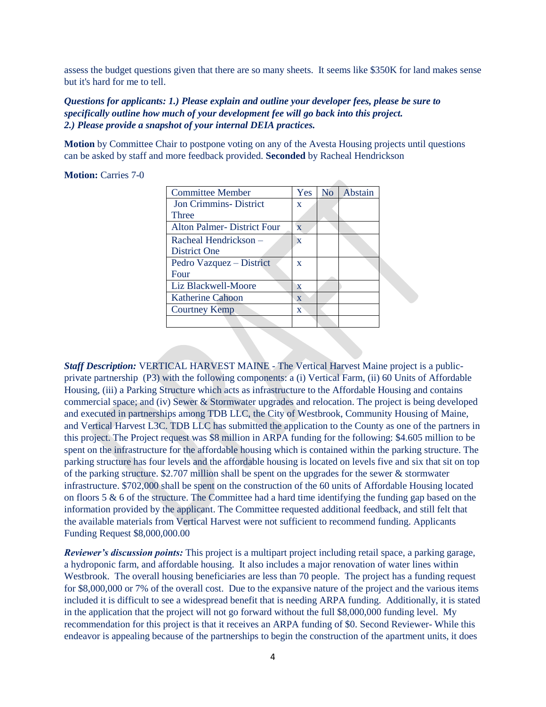assess the budget questions given that there are so many sheets. It seems like \$350K for land makes sense but it's hard for me to tell.

### *Questions for applicants: 1.) Please explain and outline your developer fees, please be sure to specifically outline how much of your development fee will go back into this project. 2.) Please provide a snapshot of your internal DEIA practices.*

**Motion** by Committee Chair to postpone voting on any of the Avesta Housing projects until questions can be asked by staff and more feedback provided. **Seconded** by Racheal Hendrickson

#### **Motion:** Carries 7-0

| <b>Committee Member</b>           | Yes                     | N <sub>0</sub> | Abstain |
|-----------------------------------|-------------------------|----------------|---------|
| <b>Jon Crimmins- District</b>     | X                       |                |         |
| Three                             |                         |                |         |
| <b>Alton Palmer-District Four</b> | $\overline{\mathbf{X}}$ |                |         |
| Racheal Hendrickson –             | X                       |                |         |
| District One                      |                         |                |         |
| Pedro Vazquez – District          | $\mathbf x$             |                |         |
| Four                              |                         |                |         |
| Liz Blackwell-Moore               | X                       |                |         |
| <b>Katherine Cahoon</b>           | $\mathbf{x}$            |                |         |
| <b>Courtney Kemp</b>              | X                       |                |         |
|                                   |                         |                |         |

*Staff Description:* VERTICAL HARVEST MAINE - The Vertical Harvest Maine project is a publicprivate partnership (P3) with the following components: a (i) Vertical Farm, (ii) 60 Units of Affordable Housing, (iii) a Parking Structure which acts as infrastructure to the Affordable Housing and contains commercial space; and (iv) Sewer & Stormwater upgrades and relocation. The project is being developed and executed in partnerships among TDB LLC, the City of Westbrook, Community Housing of Maine, and Vertical Harvest L3C. TDB LLC has submitted the application to the County as one of the partners in this project. The Project request was \$8 million in ARPA funding for the following: \$4.605 million to be spent on the infrastructure for the affordable housing which is contained within the parking structure. The parking structure has four levels and the affordable housing is located on levels five and six that sit on top of the parking structure. \$2.707 million shall be spent on the upgrades for the sewer & stormwater infrastructure. \$702,000 shall be spent on the construction of the 60 units of Affordable Housing located on floors 5  $\&$  6 of the structure. The Committee had a hard time identifying the funding gap based on the information provided by the applicant. The Committee requested additional feedback, and still felt that the available materials from Vertical Harvest were not sufficient to recommend funding. Applicants Funding Request \$8,000,000.00

*Reviewer's discussion points:* This project is a multipart project including retail space, a parking garage, a hydroponic farm, and affordable housing. It also includes a major renovation of water lines within Westbrook. The overall housing beneficiaries are less than 70 people. The project has a funding request for \$8,000,000 or 7% of the overall cost. Due to the expansive nature of the project and the various items included it is difficult to see a widespread benefit that is needing ARPA funding. Additionally, it is stated in the application that the project will not go forward without the full \$8,000,000 funding level. My recommendation for this project is that it receives an ARPA funding of \$0. Second Reviewer- While this endeavor is appealing because of the partnerships to begin the construction of the apartment units, it does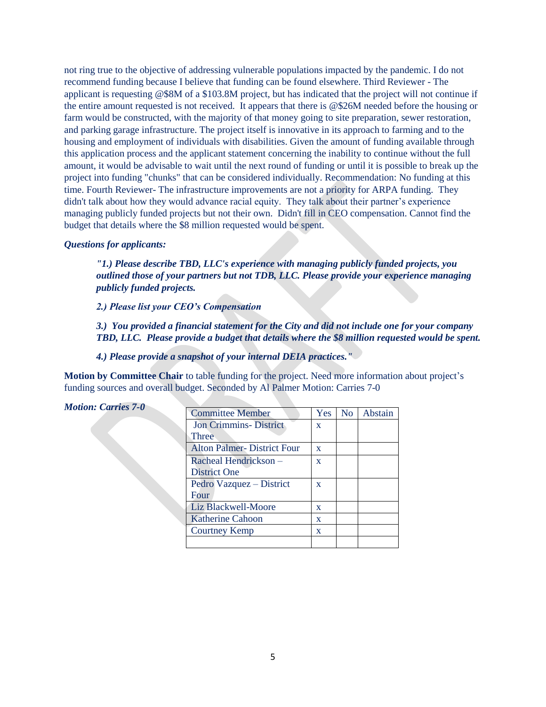not ring true to the objective of addressing vulnerable populations impacted by the pandemic. I do not recommend funding because I believe that funding can be found elsewhere. Third Reviewer - The applicant is requesting @\$8M of a \$103.8M project, but has indicated that the project will not continue if the entire amount requested is not received. It appears that there is @\$26M needed before the housing or farm would be constructed, with the majority of that money going to site preparation, sewer restoration, and parking garage infrastructure. The project itself is innovative in its approach to farming and to the housing and employment of individuals with disabilities. Given the amount of funding available through this application process and the applicant statement concerning the inability to continue without the full amount, it would be advisable to wait until the next round of funding or until it is possible to break up the project into funding "chunks" that can be considered individually. Recommendation: No funding at this time. Fourth Reviewer- The infrastructure improvements are not a priority for ARPA funding. They didn't talk about how they would advance racial equity. They talk about their partner's experience managing publicly funded projects but not their own. Didn't fill in CEO compensation. Cannot find the budget that details where the \$8 million requested would be spent.

#### *Questions for applicants:*

*Motion: Carries 7-0*

*"1.) Please describe TBD, LLC's experience with managing publicly funded projects, you outlined those of your partners but not TDB, LLC. Please provide your experience managing publicly funded projects.* 

*2.) Please list your CEO's Compensation* 

*3.) You provided a financial statement for the City and did not include one for your company TBD, LLC. Please provide a budget that details where the \$8 million requested would be spent.* 

*4.) Please provide a snapshot of your internal DEIA practices."*

**Motion by Committee Chair** to table funding for the project. Need more information about project's funding sources and overall budget. Seconded by Al Palmer Motion: Carries 7-0

| <b>Committee Member</b>           | Yes          | N <sub>o</sub> | Abstain |
|-----------------------------------|--------------|----------------|---------|
| <b>Jon Crimmins-District</b>      | $\mathbf{x}$ |                |         |
| Three                             |              |                |         |
| <b>Alton Palmer-District Four</b> | $\mathbf{x}$ |                |         |
| Racheal Hendrickson –             | $\mathbf{x}$ |                |         |
| District One                      |              |                |         |
| Pedro Vazquez – District          | $\mathbf{x}$ |                |         |
| Four                              |              |                |         |
| Liz Blackwell-Moore               | $\mathbf{x}$ |                |         |
| Katherine Cahoon                  | $\mathbf x$  |                |         |
| <b>Courtney Kemp</b>              | $\mathbf x$  |                |         |
|                                   |              |                |         |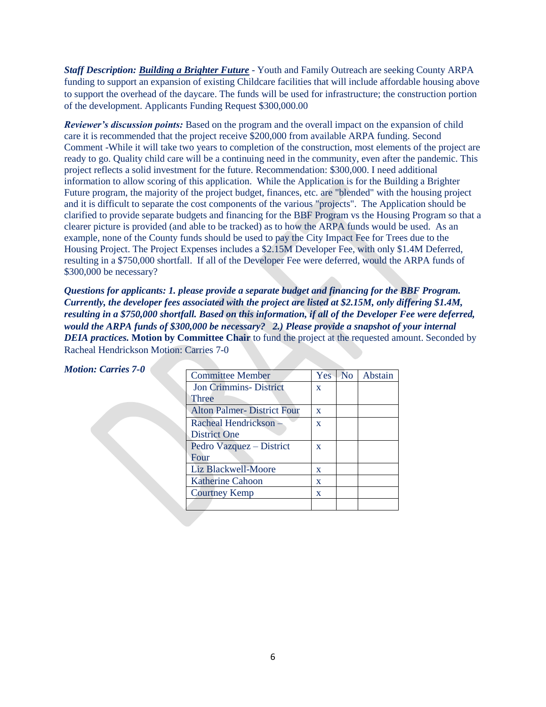*Staff Description: Building a Brighter Future* - Youth and Family Outreach are seeking County ARPA funding to support an expansion of existing Childcare facilities that will include affordable housing above to support the overhead of the daycare. The funds will be used for infrastructure; the construction portion of the development. Applicants Funding Request \$300,000.00

*Reviewer's discussion points:* Based on the program and the overall impact on the expansion of child care it is recommended that the project receive \$200,000 from available ARPA funding. Second Comment -While it will take two years to completion of the construction, most elements of the project are ready to go. Quality child care will be a continuing need in the community, even after the pandemic. This project reflects a solid investment for the future. Recommendation: \$300,000. I need additional information to allow scoring of this application. While the Application is for the Building a Brighter Future program, the majority of the project budget, finances, etc. are "blended" with the housing project and it is difficult to separate the cost components of the various "projects". The Application should be clarified to provide separate budgets and financing for the BBF Program vs the Housing Program so that a clearer picture is provided (and able to be tracked) as to how the ARPA funds would be used. As an example, none of the County funds should be used to pay the City Impact Fee for Trees due to the Housing Project. The Project Expenses includes a \$2.15M Developer Fee, with only \$1.4M Deferred, resulting in a \$750,000 shortfall. If all of the Developer Fee were deferred, would the ARPA funds of \$300,000 be necessary?

*Questions for applicants: 1. please provide a separate budget and financing for the BBF Program. Currently, the developer fees associated with the project are listed at \$2.15M, only differing \$1.4M, resulting in a \$750,000 shortfall. Based on this information, if all of the Developer Fee were deferred, would the ARPA funds of \$300,000 be necessary? 2.) Please provide a snapshot of your internal DEIA practices.* **Motion by Committee Chair** to fund the project at the requested amount. Seconded by Racheal Hendrickson Motion: Carries 7-0

| <b>Motion: Carries 7-0</b> |                                   |              |         |
|----------------------------|-----------------------------------|--------------|---------|
|                            | <b>Committee Member</b>           | Yes No       | Abstain |
|                            | <b>Jon Crimmins- District</b>     | $\mathbf{x}$ |         |
|                            | <b>Three</b>                      |              |         |
|                            | <b>Alton Palmer-District Four</b> | $\mathbf{x}$ |         |
|                            | Racheal Hendrickson -             | $\mathbf{X}$ |         |
|                            | District One                      |              |         |
|                            | Pedro Vazquez – District          | $\mathbf{x}$ |         |
|                            | Four                              |              |         |
|                            | Liz Blackwell-Moore               | $\mathbf{x}$ |         |
|                            | <b>Katherine Cahoon</b>           | $\mathbf{x}$ |         |
|                            | <b>Courtney Kemp</b>              | $\mathbf{x}$ |         |
|                            |                                   |              |         |
|                            |                                   |              |         |

| . | $\sim$ $\sim$ $\sim$ $\sim$ $\sim$ |  |  |
|---|------------------------------------|--|--|
|   |                                    |  |  |
|   |                                    |  |  |
|   |                                    |  |  |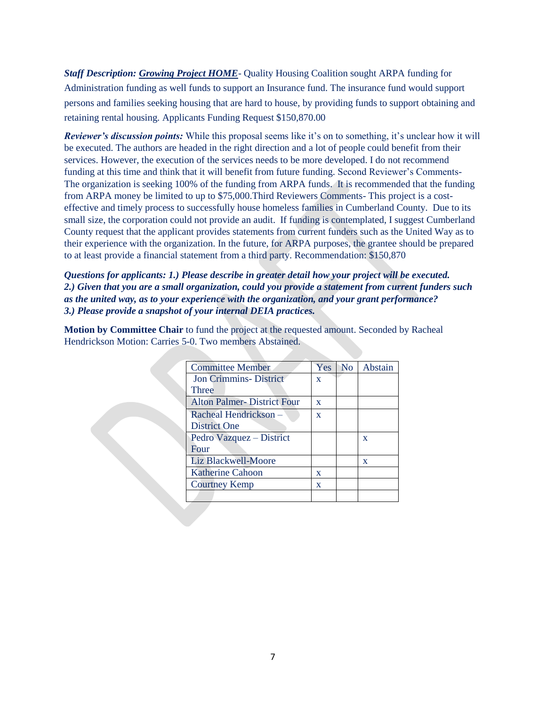*Staff Description: Growing Project HOME*- Quality Housing Coalition sought ARPA funding for Administration funding as well funds to support an Insurance fund. The insurance fund would support persons and families seeking housing that are hard to house, by providing funds to support obtaining and retaining rental housing. Applicants Funding Request \$150,870.00

*Reviewer's discussion points:* While this proposal seems like it's on to something, it's unclear how it will be executed. The authors are headed in the right direction and a lot of people could benefit from their services. However, the execution of the services needs to be more developed. I do not recommend funding at this time and think that it will benefit from future funding. Second Reviewer's Comments-The organization is seeking 100% of the funding from ARPA funds. It is recommended that the funding from ARPA money be limited to up to \$75,000.Third Reviewers Comments- This project is a costeffective and timely process to successfully house homeless families in Cumberland County. Due to its small size, the corporation could not provide an audit. If funding is contemplated, I suggest Cumberland County request that the applicant provides statements from current funders such as the United Way as to their experience with the organization. In the future, for ARPA purposes, the grantee should be prepared to at least provide a financial statement from a third party. Recommendation: \$150,870

*Questions for applicants: 1.) Please describe in greater detail how your project will be executed. 2.) Given that you are a small organization, could you provide a statement from current funders such as the united way, as to your experience with the organization, and your grant performance? 3.) Please provide a snapshot of your internal DEIA practices.*

**Motion by Committee Chair** to fund the project at the requested amount. Seconded by Racheal Hendrickson Motion: Carries 5-0. Two members Abstained.

| <b>Committee Member</b>           | Yes          | <b>No</b> | Abstain     |
|-----------------------------------|--------------|-----------|-------------|
| <b>Jon Crimmins- District</b>     | $\mathbf{x}$ |           |             |
| <b>Three</b>                      |              |           |             |
| <b>Alton Palmer-District Four</b> | $\mathbf x$  |           |             |
| Racheal Hendrickson -             | $\mathbf x$  |           |             |
| District One                      |              |           |             |
| Pedro Vazquez - District          |              |           | $\mathbf x$ |
| Four                              |              |           |             |
| <b>Liz Blackwell-Moore</b>        |              |           | X           |
| <b>Katherine Cahoon</b>           | X            |           |             |
| <b>Courtney Kemp</b>              | X            |           |             |
|                                   |              |           |             |
|                                   |              |           |             |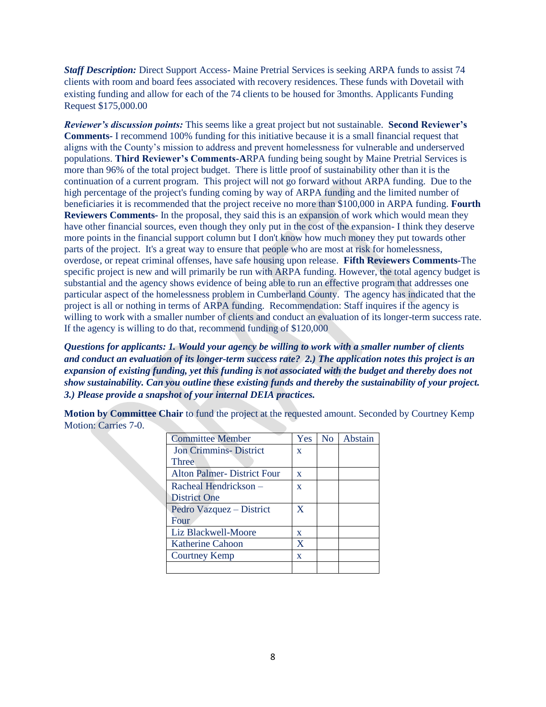*Staff Description:* Direct Support Access- Maine Pretrial Services is seeking ARPA funds to assist 74 clients with room and board fees associated with recovery residences. These funds with Dovetail with existing funding and allow for each of the 74 clients to be housed for 3months. Applicants Funding Request \$175,000.00

*Reviewer's discussion points:* This seems like a great project but not sustainable. **Second Reviewer's Comments-** I recommend 100% funding for this initiative because it is a small financial request that aligns with the County's mission to address and prevent homelessness for vulnerable and underserved populations. **Third Reviewer's Comments-A**RPA funding being sought by Maine Pretrial Services is more than 96% of the total project budget. There is little proof of sustainability other than it is the continuation of a current program. This project will not go forward without ARPA funding. Due to the high percentage of the project's funding coming by way of ARPA funding and the limited number of beneficiaries it is recommended that the project receive no more than \$100,000 in ARPA funding. **Fourth Reviewers Comments-** In the proposal, they said this is an expansion of work which would mean they have other financial sources, even though they only put in the cost of the expansion- I think they deserve more points in the financial support column but I don't know how much money they put towards other parts of the project. It's a great way to ensure that people who are most at risk for homelessness, overdose, or repeat criminal offenses, have safe housing upon release. **Fifth Reviewers Comments-**The specific project is new and will primarily be run with ARPA funding. However, the total agency budget is substantial and the agency shows evidence of being able to run an effective program that addresses one particular aspect of the homelessness problem in Cumberland County. The agency has indicated that the project is all or nothing in terms of ARPA funding. Recommendation: Staff inquires if the agency is willing to work with a smaller number of clients and conduct an evaluation of its longer-term success rate. If the agency is willing to do that, recommend funding of \$120,000

*Questions for applicants: 1. Would your agency be willing to work with a smaller number of clients and conduct an evaluation of its longer-term success rate? 2.) The application notes this project is an expansion of existing funding, yet this funding is not associated with the budget and thereby does not show sustainability. Can you outline these existing funds and thereby the sustainability of your project. 3.) Please provide a snapshot of your internal DEIA practices.*

**Motion by Committee Chair** to fund the project at the requested amount. Seconded by Courtney Kemp Motion: Carries 7-0.

| <b>Committee Member</b>           | Yes          | N <sub>o</sub> | Abstain |
|-----------------------------------|--------------|----------------|---------|
| <b>Jon Crimmins-District</b>      | $\mathbf{x}$ |                |         |
| Three                             |              |                |         |
| <b>Alton Palmer-District Four</b> | X            |                |         |
| Racheal Hendrickson –             | $\mathbf x$  |                |         |
| District One                      |              |                |         |
| Pedro Vazquez – District          | X            |                |         |
| Four                              |              |                |         |
| Liz Blackwell-Moore               | X            |                |         |
| Katherine Cahoon                  | X            |                |         |
| <b>Courtney Kemp</b>              | $\mathbf x$  |                |         |
|                                   |              |                |         |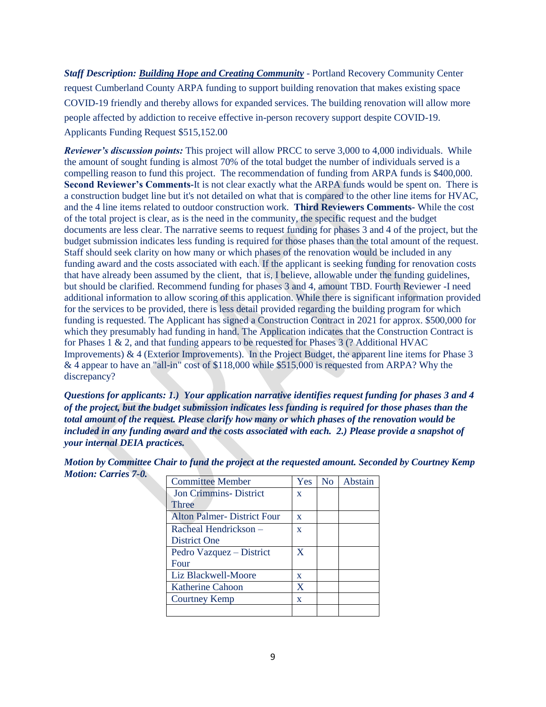*Staff Description: Building Hope and Creating Community* - Portland Recovery Community Center request Cumberland County ARPA funding to support building renovation that makes existing space COVID-19 friendly and thereby allows for expanded services. The building renovation will allow more people affected by addiction to receive effective in-person recovery support despite COVID-19. Applicants Funding Request \$515,152.00

*Reviewer's discussion points:* This project will allow PRCC to serve 3,000 to 4,000 individuals. While the amount of sought funding is almost 70% of the total budget the number of individuals served is a compelling reason to fund this project. The recommendation of funding from ARPA funds is \$400,000. **Second Reviewer's Comments-**It is not clear exactly what the ARPA funds would be spent on. There is a construction budget line but it's not detailed on what that is compared to the other line items for HVAC, and the 4 line items related to outdoor construction work. **Third Reviewers Comments-** While the cost of the total project is clear, as is the need in the community, the specific request and the budget documents are less clear. The narrative seems to request funding for phases 3 and 4 of the project, but the budget submission indicates less funding is required for those phases than the total amount of the request. Staff should seek clarity on how many or which phases of the renovation would be included in any funding award and the costs associated with each. If the applicant is seeking funding for renovation costs that have already been assumed by the client, that is, I believe, allowable under the funding guidelines, but should be clarified. Recommend funding for phases 3 and 4, amount TBD. Fourth Reviewer -I need additional information to allow scoring of this application. While there is significant information provided for the services to be provided, there is less detail provided regarding the building program for which funding is requested. The Applicant has signed a Construction Contract in 2021 for approx. \$500,000 for which they presumably had funding in hand. The Application indicates that the Construction Contract is for Phases 1 & 2, and that funding appears to be requested for Phases 3 (? Additional HVAC Improvements) & 4 (Exterior Improvements). In the Project Budget, the apparent line items for Phase 3 & 4 appear to have an "all-in" cost of \$118,000 while \$515,000 is requested from ARPA? Why the discrepancy?

*Questions for applicants: 1.) Your application narrative identifies request funding for phases 3 and 4 of the project, but the budget submission indicates less funding is required for those phases than the total amount of the request. Please clarify how many or which phases of the renovation would be included in any funding award and the costs associated with each. 2.) Please provide a snapshot of your internal DEIA practices.* 

| <b>Committee Member</b>           | Yes          | N <sub>o</sub> | Abstain |
|-----------------------------------|--------------|----------------|---------|
| <b>Jon Crimmins-District</b>      | $\mathbf{X}$ |                |         |
| Three                             |              |                |         |
| <b>Alton Palmer-District Four</b> | X            |                |         |
| Racheal Hendrickson -             | $\mathbf{x}$ |                |         |
| District One                      |              |                |         |
| Pedro Vazquez – District          | $\mathbf x$  |                |         |
| Four                              |              |                |         |
| Liz Blackwell-Moore               | X            |                |         |
| <b>Katherine Cahoon</b>           | X            |                |         |
| <b>Courtney Kemp</b>              | X            |                |         |
|                                   |              |                |         |

*Motion by Committee Chair to fund the project at the requested amount. Seconded by Courtney Kemp Motion: Carries 7-0.*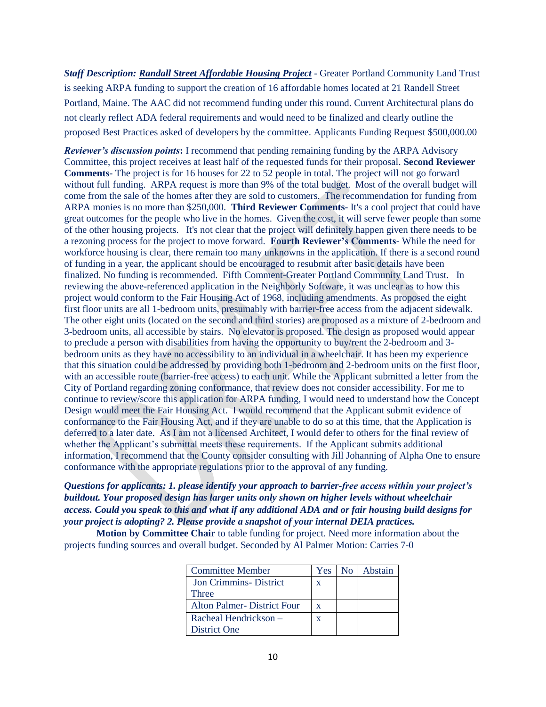*Staff Description: Randall Street Affordable Housing Project* - Greater Portland Community Land Trust is seeking ARPA funding to support the creation of 16 affordable homes located at 21 Randell Street Portland, Maine. The AAC did not recommend funding under this round. Current Architectural plans do not clearly reflect ADA federal requirements and would need to be finalized and clearly outline the proposed Best Practices asked of developers by the committee. Applicants Funding Request \$500,000.00

*Reviewer's discussion points***:** I recommend that pending remaining funding by the ARPA Advisory Committee, this project receives at least half of the requested funds for their proposal. **Second Reviewer Comments-** The project is for 16 houses for 22 to 52 people in total. The project will not go forward without full funding. ARPA request is more than 9% of the total budget. Most of the overall budget will come from the sale of the homes after they are sold to customers. The recommendation for funding from ARPA monies is no more than \$250,000. **Third Reviewer Comments-** It's a cool project that could have great outcomes for the people who live in the homes. Given the cost, it will serve fewer people than some of the other housing projects. It's not clear that the project will definitely happen given there needs to be a rezoning process for the project to move forward. **Fourth Reviewer's Comments-** While the need for workforce housing is clear, there remain too many unknowns in the application. If there is a second round of funding in a year, the applicant should be encouraged to resubmit after basic details have been finalized. No funding is recommended. Fifth Comment-Greater Portland Community Land Trust. In reviewing the above-referenced application in the Neighborly Software, it was unclear as to how this project would conform to the Fair Housing Act of 1968, including amendments. As proposed the eight first floor units are all 1-bedroom units, presumably with barrier-free access from the adjacent sidewalk. The other eight units (located on the second and third stories) are proposed as a mixture of 2-bedroom and 3-bedroom units, all accessible by stairs. No elevator is proposed. The design as proposed would appear to preclude a person with disabilities from having the opportunity to buy/rent the 2-bedroom and 3 bedroom units as they have no accessibility to an individual in a wheelchair. It has been my experience that this situation could be addressed by providing both 1-bedroom and 2-bedroom units on the first floor, with an accessible route (barrier-free access) to each unit. While the Applicant submitted a letter from the City of Portland regarding zoning conformance, that review does not consider accessibility. For me to continue to review/score this application for ARPA funding, I would need to understand how the Concept Design would meet the Fair Housing Act. I would recommend that the Applicant submit evidence of conformance to the Fair Housing Act, and if they are unable to do so at this time, that the Application is deferred to a later date. As I am not a licensed Architect, I would defer to others for the final review of whether the Applicant's submittal meets these requirements. If the Applicant submits additional information, I recommend that the County consider consulting with Jill Johanning of Alpha One to ensure conformance with the appropriate regulations prior to the approval of any funding.

# *Questions for applicants: 1. please identify your approach to barrier-free access within your project's buildout. Your proposed design has larger units only shown on higher levels without wheelchair access. Could you speak to this and what if any additional ADA and or fair housing build designs for your project is adopting? 2. Please provide a snapshot of your internal DEIA practices.*

**Motion by Committee Chair** to table funding for project. Need more information about the projects funding sources and overall budget. Seconded by Al Palmer Motion: Carries 7-0

| <b>Committee Member</b>      | Yes | No   Abstain |
|------------------------------|-----|--------------|
| <b>Jon Crimmins-District</b> | X   |              |
| Three                        |     |              |
| Alton Palmer-District Four   | X   |              |
| Racheal Hendrickson –        | X   |              |
| <b>District One</b>          |     |              |